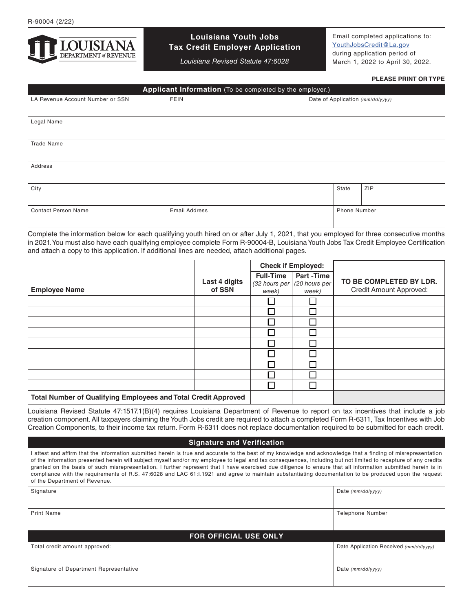

## **Louisiana Youth Jobs Tax Credit Employer Application**

*Louisiana Revised Statute 47:6028*

Email completed applications to: [YouthJobsCredit@La.gov](http://YouthJobsCredit@La.gov) during application period of March 1, 2022 to April 30, 2022.

## **PLEASE PRINT OR TYPE**

| Applicant Information (To be completed by the employer.) |                      |       |                                  |  |  |  |
|----------------------------------------------------------|----------------------|-------|----------------------------------|--|--|--|
| LA Revenue Account Number or SSN                         | <b>FEIN</b>          |       | Date of Application (mm/dd/yyyy) |  |  |  |
|                                                          |                      |       |                                  |  |  |  |
| Legal Name                                               |                      |       |                                  |  |  |  |
|                                                          |                      |       |                                  |  |  |  |
| <b>Trade Name</b>                                        |                      |       |                                  |  |  |  |
|                                                          |                      |       |                                  |  |  |  |
| Address                                                  |                      |       |                                  |  |  |  |
|                                                          |                      |       |                                  |  |  |  |
| City                                                     |                      | State | <b>ZIP</b>                       |  |  |  |
|                                                          |                      |       |                                  |  |  |  |
| <b>Contact Person Name</b>                               | <b>Email Address</b> |       | Phone Number                     |  |  |  |
|                                                          |                      |       |                                  |  |  |  |
|                                                          |                      |       |                                  |  |  |  |

Complete the information below for each qualifying youth hired on or after July 1, 2021, that you employed for three consecutive months in 2021. You must also have each qualifying employee complete Form R-90004-B, Louisiana Youth Jobs Tax Credit Employee Certification and attach a copy to this application. If additional lines are needed, attach additional pages.

|                                                                       |                         | <b>Check if Employed:</b>                  |                                            |                                                    |
|-----------------------------------------------------------------------|-------------------------|--------------------------------------------|--------------------------------------------|----------------------------------------------------|
| <b>Employee Name</b>                                                  | Last 4 digits<br>of SSN | <b>Full-Time</b><br>(32 hours per<br>week) | <b>Part-Time</b><br>(20 hours per<br>week) | TO BE COMPLETED BY LDR.<br>Credit Amount Approved: |
|                                                                       |                         |                                            |                                            |                                                    |
|                                                                       |                         |                                            |                                            |                                                    |
|                                                                       |                         |                                            |                                            |                                                    |
|                                                                       |                         |                                            |                                            |                                                    |
|                                                                       |                         |                                            |                                            |                                                    |
|                                                                       |                         |                                            |                                            |                                                    |
|                                                                       |                         |                                            |                                            |                                                    |
|                                                                       |                         |                                            |                                            |                                                    |
|                                                                       |                         |                                            |                                            |                                                    |
| <b>Total Number of Qualifying Employees and Total Credit Approved</b> |                         |                                            |                                            |                                                    |

Louisiana Revised Statute 47:1517.1(B)(4) requires Louisiana Department of Revenue to report on tax incentives that include a job creation component. All taxpayers claiming the Youth Jobs credit are required to attach a completed Form R-6311, Tax Incentives with Job Creation Components, to their income tax return. Form R-6311 does not replace documentation required to be submitted for each credit.

## **Signature and Verification**

| attest and affirm that the information submitted herein is true and accurate to the best of my knowledge and acknowledge that a finding of misrepresentation<br>of the information presented herein will subject myself and/or my employee to legal and tax consequences, including but not limited to recapture of any credits<br>granted on the basis of such misrepresentation. I further represent that I have exercised due diligence to ensure that all information submitted herein is in<br>compliance with the requirements of R.S. 47:6028 and LAC 61:1.1921 and agree to maintain substantiating documentation to be produced upon the request<br>of the Department of Revenue. |                                        |  |  |  |  |
|--------------------------------------------------------------------------------------------------------------------------------------------------------------------------------------------------------------------------------------------------------------------------------------------------------------------------------------------------------------------------------------------------------------------------------------------------------------------------------------------------------------------------------------------------------------------------------------------------------------------------------------------------------------------------------------------|----------------------------------------|--|--|--|--|
| Signature                                                                                                                                                                                                                                                                                                                                                                                                                                                                                                                                                                                                                                                                                  | Date $(mm/dd/vvvv)$                    |  |  |  |  |
| <b>Print Name</b>                                                                                                                                                                                                                                                                                                                                                                                                                                                                                                                                                                                                                                                                          | <b>Telephone Number</b>                |  |  |  |  |
| <b>FOR OFFICIAL USE ONLY</b>                                                                                                                                                                                                                                                                                                                                                                                                                                                                                                                                                                                                                                                               |                                        |  |  |  |  |
| Total credit amount approved:                                                                                                                                                                                                                                                                                                                                                                                                                                                                                                                                                                                                                                                              | Date Application Received (mm/dd/yyyy) |  |  |  |  |
| Signature of Department Representative                                                                                                                                                                                                                                                                                                                                                                                                                                                                                                                                                                                                                                                     | Date $(mm/dd/yyyy)$                    |  |  |  |  |